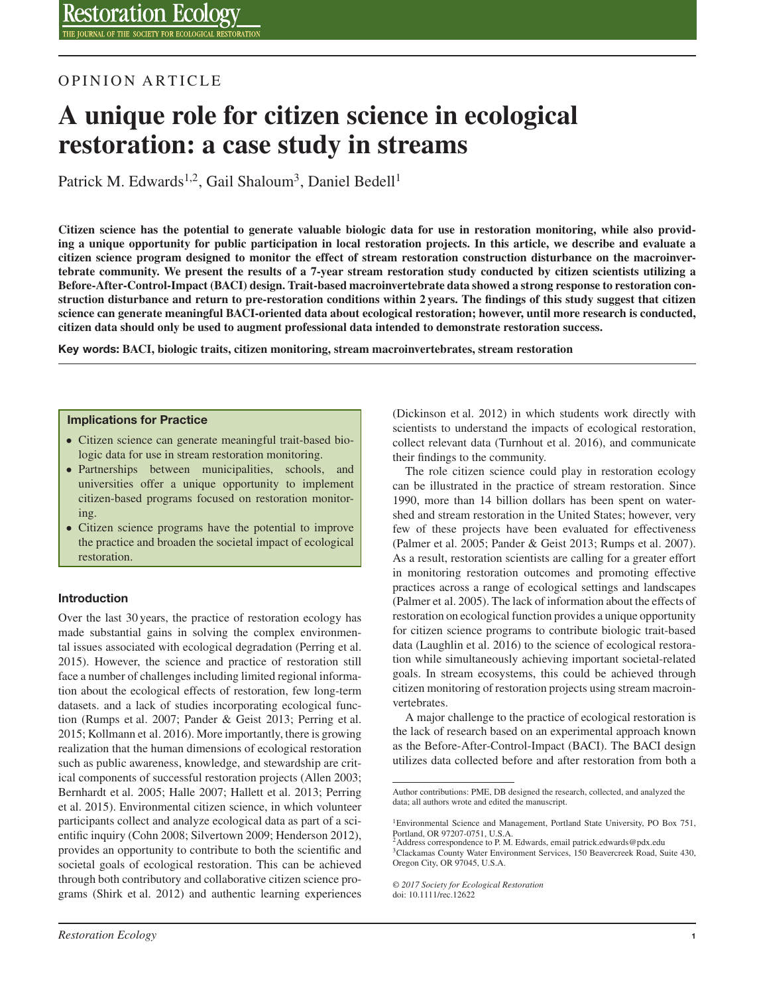# OPINION ARTICLE

# **A unique role for citizen science in ecological restoration: a case study in streams**

Patrick M. Edwards<sup>1,2</sup>, Gail Shaloum<sup>3</sup>, Daniel Bedell<sup>1</sup>

**Citizen science has the potential to generate valuable biologic data for use in restoration monitoring, while also providing a unique opportunity for public participation in local restoration projects. In this article, we describe and evaluate a citizen science program designed to monitor the effect of stream restoration construction disturbance on the macroinvertebrate community. We present the results of a 7-year stream restoration study conducted by citizen scientists utilizing a Before-After-Control-Impact (BACI) design. Trait-based macroinvertebrate data showed a strong response to restoration construction disturbance and return to pre-restoration conditions within 2 years. The findings of this study suggest that citizen science can generate meaningful BACI-oriented data about ecological restoration; however, until more research is conducted, citizen data should only be used to augment professional data intended to demonstrate restoration success.**

**Key words: BACI, biologic traits, citizen monitoring, stream macroinvertebrates, stream restoration**

#### **Implications for Practice**

- Citizen science can generate meaningful trait-based biologic data for use in stream restoration monitoring.
- Partnerships between municipalities, schools, and universities offer a unique opportunity to implement citizen-based programs focused on restoration monitoring.
- Citizen science programs have the potential to improve the practice and broaden the societal impact of ecological restoration.

# **Introduction**

Over the last 30 years, the practice of restoration ecology has made substantial gains in solving the complex environmental issues associated with ecological degradation (Perring et al. 2015). However, the science and practice of restoration still face a number of challenges including limited regional information about the ecological effects of restoration, few long-term datasets. and a lack of studies incorporating ecological function (Rumps et al. 2007; Pander & Geist 2013; Perring et al. 2015; Kollmann et al. 2016). More importantly, there is growing realization that the human dimensions of ecological restoration such as public awareness, knowledge, and stewardship are critical components of successful restoration projects (Allen 2003; Bernhardt et al. 2005; Halle 2007; Hallett et al. 2013; Perring et al. 2015). Environmental citizen science, in which volunteer participants collect and analyze ecological data as part of a scientific inquiry (Cohn 2008; Silvertown 2009; Henderson 2012), provides an opportunity to contribute to both the scientific and societal goals of ecological restoration. This can be achieved through both contributory and collaborative citizen science programs (Shirk et al. 2012) and authentic learning experiences

(Dickinson et al. 2012) in which students work directly with scientists to understand the impacts of ecological restoration, collect relevant data (Turnhout et al. 2016), and communicate their findings to the community.

The role citizen science could play in restoration ecology can be illustrated in the practice of stream restoration. Since 1990, more than 14 billion dollars has been spent on watershed and stream restoration in the United States; however, very few of these projects have been evaluated for effectiveness (Palmer et al. 2005; Pander & Geist 2013; Rumps et al. 2007). As a result, restoration scientists are calling for a greater effort in monitoring restoration outcomes and promoting effective practices across a range of ecological settings and landscapes (Palmer et al. 2005). The lack of information about the effects of restoration on ecological function provides a unique opportunity for citizen science programs to contribute biologic trait-based data (Laughlin et al. 2016) to the science of ecological restoration while simultaneously achieving important societal-related goals. In stream ecosystems, this could be achieved through citizen monitoring of restoration projects using stream macroinvertebrates.

A major challenge to the practice of ecological restoration is the lack of research based on an experimental approach known as the Before-After-Control-Impact (BACI). The BACI design utilizes data collected before and after restoration from both a

1Environmental Science and Management, Portland State University, PO Box 751, Portland, OR 97207-0751, U.S.A.

*© 2017 Society for Ecological Restoration* doi: 10.1111/rec.12622

Author contributions: PME, DB designed the research, collected, and analyzed the data; all authors wrote and edited the manuscript.

Address correspondence to P. M. Edwards, email patrick.edwards@pdx.edu 3Clackamas County Water Environment Services, 150 Beavercreek Road, Suite 430, Oregon City, OR 97045, U.S.A.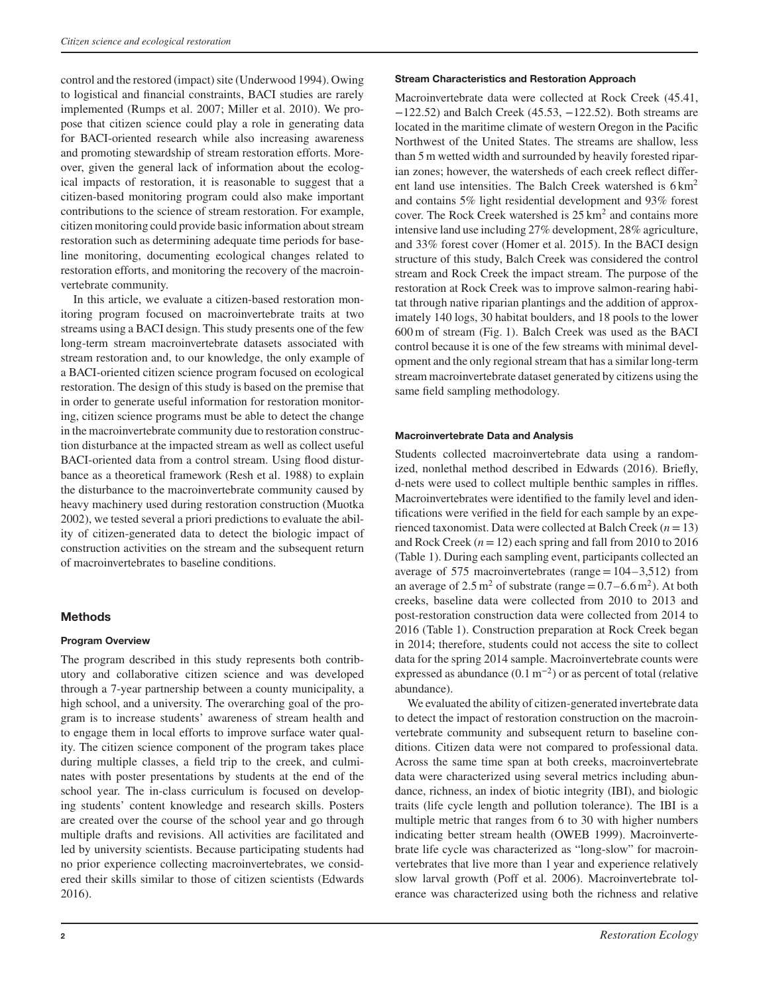control and the restored (impact) site (Underwood 1994). Owing to logistical and financial constraints, BACI studies are rarely implemented (Rumps et al. 2007; Miller et al. 2010). We propose that citizen science could play a role in generating data for BACI-oriented research while also increasing awareness and promoting stewardship of stream restoration efforts. Moreover, given the general lack of information about the ecological impacts of restoration, it is reasonable to suggest that a citizen-based monitoring program could also make important contributions to the science of stream restoration. For example, citizen monitoring could provide basic information about stream restoration such as determining adequate time periods for baseline monitoring, documenting ecological changes related to restoration efforts, and monitoring the recovery of the macroinvertebrate community.

In this article, we evaluate a citizen-based restoration monitoring program focused on macroinvertebrate traits at two streams using a BACI design. This study presents one of the few long-term stream macroinvertebrate datasets associated with stream restoration and, to our knowledge, the only example of a BACI-oriented citizen science program focused on ecological restoration. The design of this study is based on the premise that in order to generate useful information for restoration monitoring, citizen science programs must be able to detect the change in the macroinvertebrate community due to restoration construction disturbance at the impacted stream as well as collect useful BACI-oriented data from a control stream. Using flood disturbance as a theoretical framework (Resh et al. 1988) to explain the disturbance to the macroinvertebrate community caused by heavy machinery used during restoration construction (Muotka 2002), we tested several a priori predictions to evaluate the ability of citizen-generated data to detect the biologic impact of construction activities on the stream and the subsequent return of macroinvertebrates to baseline conditions.

#### **Methods**

#### **Program Overview**

The program described in this study represents both contributory and collaborative citizen science and was developed through a 7-year partnership between a county municipality, a high school, and a university. The overarching goal of the program is to increase students' awareness of stream health and to engage them in local efforts to improve surface water quality. The citizen science component of the program takes place during multiple classes, a field trip to the creek, and culminates with poster presentations by students at the end of the school year. The in-class curriculum is focused on developing students' content knowledge and research skills. Posters are created over the course of the school year and go through multiple drafts and revisions. All activities are facilitated and led by university scientists. Because participating students had no prior experience collecting macroinvertebrates, we considered their skills similar to those of citizen scientists (Edwards 2016).

#### **Stream Characteristics and Restoration Approach**

Macroinvertebrate data were collected at Rock Creek (45.41, −122.52) and Balch Creek (45.53, −122.52). Both streams are located in the maritime climate of western Oregon in the Pacific Northwest of the United States. The streams are shallow, less than 5 m wetted width and surrounded by heavily forested riparian zones; however, the watersheds of each creek reflect different land use intensities. The Balch Creek watershed is 6 km2 and contains 5% light residential development and 93% forest cover. The Rock Creek watershed is 25 km2 and contains more intensive land use including 27% development, 28% agriculture, and 33% forest cover (Homer et al. 2015). In the BACI design structure of this study, Balch Creek was considered the control stream and Rock Creek the impact stream. The purpose of the restoration at Rock Creek was to improve salmon-rearing habitat through native riparian plantings and the addition of approximately 140 logs, 30 habitat boulders, and 18 pools to the lower 600 m of stream (Fig. 1). Balch Creek was used as the BACI control because it is one of the few streams with minimal development and the only regional stream that has a similar long-term stream macroinvertebrate dataset generated by citizens using the same field sampling methodology.

#### **Macroinvertebrate Data and Analysis**

Students collected macroinvertebrate data using a randomized, nonlethal method described in Edwards (2016). Briefly, d-nets were used to collect multiple benthic samples in riffles. Macroinvertebrates were identified to the family level and identifications were verified in the field for each sample by an experienced taxonomist. Data were collected at Balch Creek (*n*=13) and Rock Creek (*n*=12) each spring and fall from 2010 to 2016 (Table 1). During each sampling event, participants collected an average of 575 macroinvertebrates (range=104–3,512) from an average of  $2.5 \text{ m}^2$  of substrate (range =  $0.7-6.6 \text{ m}^2$ ). At both creeks, baseline data were collected from 2010 to 2013 and post-restoration construction data were collected from 2014 to 2016 (Table 1). Construction preparation at Rock Creek began in 2014; therefore, students could not access the site to collect data for the spring 2014 sample. Macroinvertebrate counts were expressed as abundance  $(0.1 \text{ m}^{-2})$  or as percent of total (relative abundance).

We evaluated the ability of citizen-generated invertebrate data to detect the impact of restoration construction on the macroinvertebrate community and subsequent return to baseline conditions. Citizen data were not compared to professional data. Across the same time span at both creeks, macroinvertebrate data were characterized using several metrics including abundance, richness, an index of biotic integrity (IBI), and biologic traits (life cycle length and pollution tolerance). The IBI is a multiple metric that ranges from 6 to 30 with higher numbers indicating better stream health (OWEB 1999). Macroinvertebrate life cycle was characterized as "long-slow" for macroinvertebrates that live more than 1 year and experience relatively slow larval growth (Poff et al. 2006). Macroinvertebrate tolerance was characterized using both the richness and relative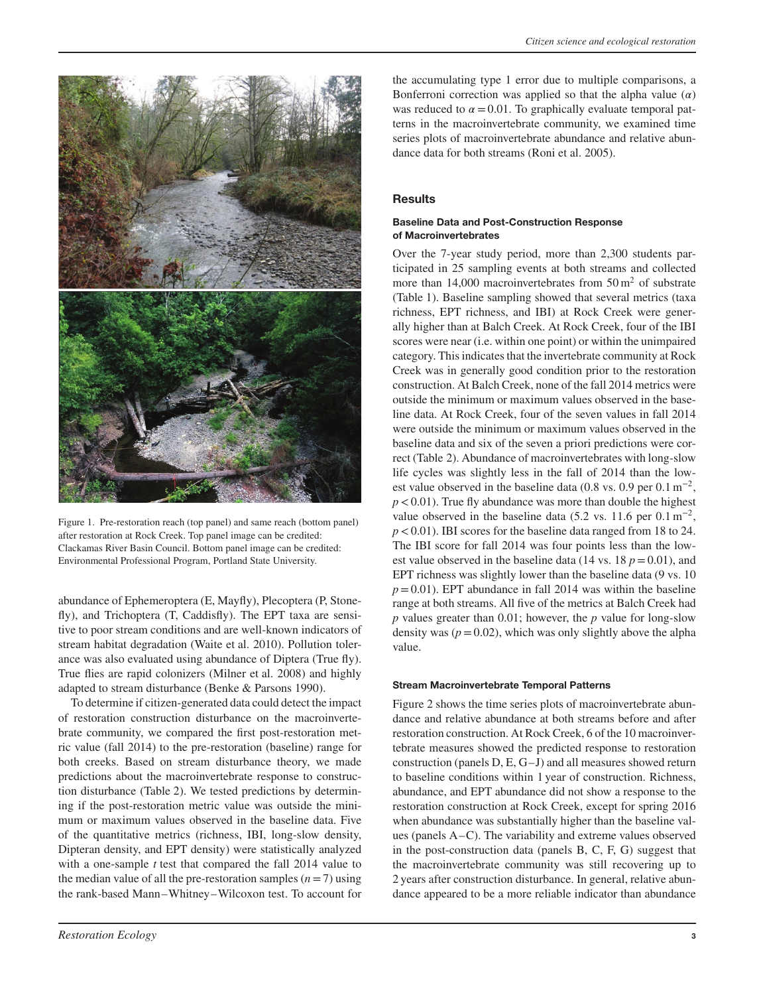

Figure 1. Pre-restoration reach (top panel) and same reach (bottom panel) after restoration at Rock Creek. Top panel image can be credited: Clackamas River Basin Council. Bottom panel image can be credited: Environmental Professional Program, Portland State University.

abundance of Ephemeroptera (E, Mayfly), Plecoptera (P, Stonefly), and Trichoptera (T, Caddisfly). The EPT taxa are sensitive to poor stream conditions and are well-known indicators of stream habitat degradation (Waite et al. 2010). Pollution tolerance was also evaluated using abundance of Diptera (True fly). True flies are rapid colonizers (Milner et al. 2008) and highly adapted to stream disturbance (Benke & Parsons 1990).

To determine if citizen-generated data could detect the impact of restoration construction disturbance on the macroinvertebrate community, we compared the first post-restoration metric value (fall 2014) to the pre-restoration (baseline) range for both creeks. Based on stream disturbance theory, we made predictions about the macroinvertebrate response to construction disturbance (Table 2). We tested predictions by determining if the post-restoration metric value was outside the minimum or maximum values observed in the baseline data. Five of the quantitative metrics (richness, IBI, long-slow density, Dipteran density, and EPT density) were statistically analyzed with a one-sample *t* test that compared the fall 2014 value to the median value of all the pre-restoration samples  $(n=7)$  using the rank-based Mann–Whitney–Wilcoxon test. To account for

the accumulating type 1 error due to multiple comparisons, a Bonferroni correction was applied so that the alpha value  $(a)$ was reduced to  $\alpha = 0.01$ . To graphically evaluate temporal patterns in the macroinvertebrate community, we examined time series plots of macroinvertebrate abundance and relative abundance data for both streams (Roni et al. 2005).

### **Results**

#### **Baseline Data and Post-Construction Response of Macroinvertebrates**

Over the 7-year study period, more than 2,300 students participated in 25 sampling events at both streams and collected more than 14,000 macroinvertebrates from  $50 \text{ m}^2$  of substrate (Table 1). Baseline sampling showed that several metrics (taxa richness, EPT richness, and IBI) at Rock Creek were generally higher than at Balch Creek. At Rock Creek, four of the IBI scores were near (i.e. within one point) or within the unimpaired category. This indicates that the invertebrate community at Rock Creek was in generally good condition prior to the restoration construction. At Balch Creek, none of the fall 2014 metrics were outside the minimum or maximum values observed in the baseline data. At Rock Creek, four of the seven values in fall 2014 were outside the minimum or maximum values observed in the baseline data and six of the seven a priori predictions were correct (Table 2). Abundance of macroinvertebrates with long-slow life cycles was slightly less in the fall of 2014 than the lowest value observed in the baseline data (0.8 vs. 0.9 per  $0.1 \text{ m}^{-2}$ ,  $p$  < 0.01). True fly abundance was more than double the highest value observed in the baseline data (5.2 vs. 11.6 per  $0.1 \text{ m}^{-2}$ , *p<*0.01). IBI scores for the baseline data ranged from 18 to 24. The IBI score for fall 2014 was four points less than the lowest value observed in the baseline data (14 vs. 18  $p = 0.01$ ), and EPT richness was slightly lower than the baseline data (9 vs. 10  $p = 0.01$ ). EPT abundance in fall 2014 was within the baseline range at both streams. All five of the metrics at Balch Creek had *p* values greater than 0.01; however, the *p* value for long-slow density was  $(p=0.02)$ , which was only slightly above the alpha value.

#### **Stream Macroinvertebrate Temporal Patterns**

Figure 2 shows the time series plots of macroinvertebrate abundance and relative abundance at both streams before and after restoration construction. At Rock Creek, 6 of the 10 macroinvertebrate measures showed the predicted response to restoration construction (panels D, E, G–J) and all measures showed return to baseline conditions within 1 year of construction. Richness, abundance, and EPT abundance did not show a response to the restoration construction at Rock Creek, except for spring 2016 when abundance was substantially higher than the baseline values (panels A–C). The variability and extreme values observed in the post-construction data (panels B, C, F, G) suggest that the macroinvertebrate community was still recovering up to 2 years after construction disturbance. In general, relative abundance appeared to be a more reliable indicator than abundance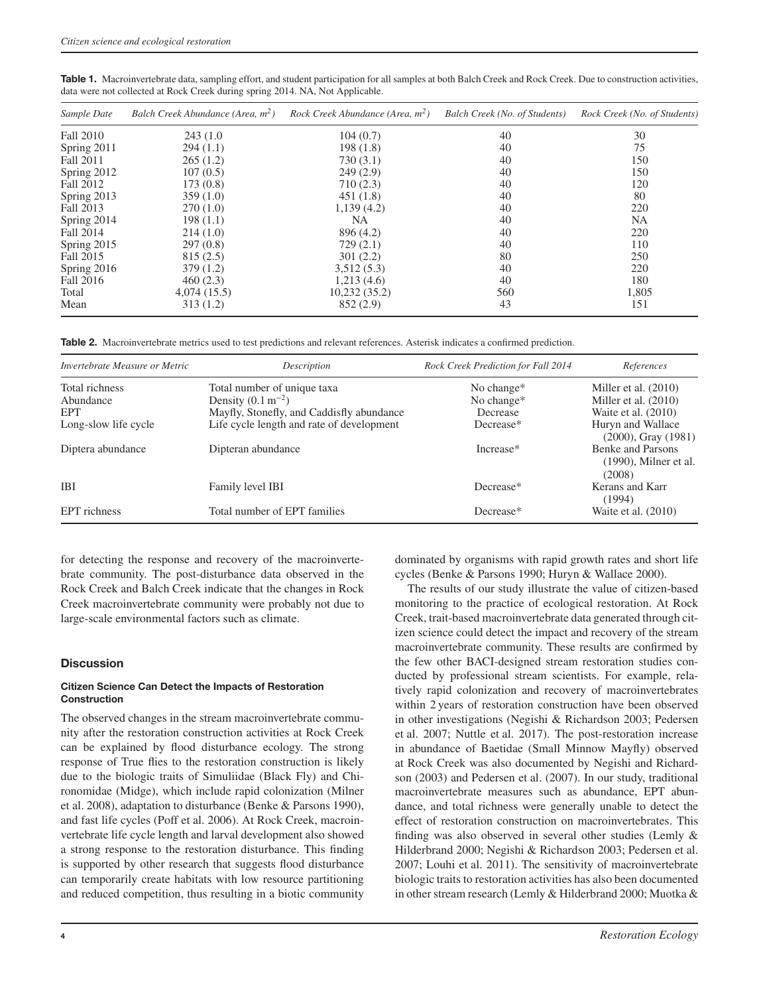| Sample Date | Balch Creek Abundance (Area, m <sup>2</sup> ) | Rock Creek Abundance (Area, $m^2$ ) | Balch Creek (No. of Students) | Rock Creek (No. of Students) |
|-------------|-----------------------------------------------|-------------------------------------|-------------------------------|------------------------------|
| Fall 2010   | 243(1.0)                                      | 104(0.7)                            | 40                            | 30                           |
| Spring 2011 | 294(1.1)                                      | 198(1.8)                            | 40                            | 75                           |
| Fall 2011   | 265(1.2)                                      | 730(3.1)                            | 40                            | 150                          |
| Spring 2012 | 107(0.5)                                      | 249(2.9)                            | 40                            | 150                          |
| Fall 2012   | 173(0.8)                                      | 710(2.3)                            | 40                            | 120                          |
| Spring 2013 | 359(1.0)                                      | 451(1.8)                            | 40                            | 80                           |
| Fall 2013   | 270(1.0)                                      | 1,139(4.2)                          | 40                            | 220                          |
| Spring 2014 | 198(1.1)                                      | NA                                  | 40                            | <b>NA</b>                    |
| Fall 2014   | 214(1.0)                                      | 896 (4.2)                           | 40                            | 220                          |
| Spring 2015 | 297(0.8)                                      | 729(2.1)                            | 40                            | 110                          |
| Fall 2015   | 815(2.5)                                      | 301(2.2)                            | 80                            | 250                          |
| Spring 2016 | 379(1.2)                                      | 3,512(5.3)                          | 40                            | 220                          |
| Fall 2016   | 460(2.3)                                      | 1,213(4.6)                          | 40                            | 180                          |
| Total       | 4,074(15.5)                                   | 10,232(35.2)                        | 560                           | 1,805                        |
| Mean        | 313(1.2)                                      | 852 (2.9)                           | 43                            | 151                          |

**Table 1.** Macroinvertebrate data, sampling effort, and student participation for all samples at both Balch Creek and Rock Creek. Due to construction activities, data were not collected at Rock Creek during spring 2014. NA, Not Applicable.

**Table 2.** Macroinvertebrate metrics used to test predictions and relevant references. Asterisk indicates a confirmed prediction.

| Invertebrate Measure or Metric | Description                                                   | Rock Creek Prediction for Fall 2014 | References                                                     |
|--------------------------------|---------------------------------------------------------------|-------------------------------------|----------------------------------------------------------------|
| Total richness<br>Abundance    | Total number of unique taxa<br>Density $(0.1 \text{ m}^{-2})$ | No change*<br>No change*            | Miller et al. $(2010)$<br>Miller et al. $(2010)$               |
| <b>EPT</b>                     | Mayfly, Stonefly, and Caddisfly abundance                     | Decrease                            | Waite et al. $(2010)$                                          |
| Long-slow life cycle           | Life cycle length and rate of development                     | Decrease*                           | Huryn and Wallace<br>$(2000)$ , Gray $(1981)$                  |
| Diptera abundance              | Dipteran abundance                                            | Increase*                           | <b>Benke and Parsons</b><br>$(1990)$ , Milner et al.<br>(2008) |
| <b>IBI</b>                     | Family level IBI                                              | Decrease*                           | Kerans and Karr<br>(1994)                                      |
| EPT richness                   | Total number of EPT families                                  | Decrease*                           | Waite et al. $(2010)$                                          |

for detecting the response and recovery of the macroinvertebrate community. The post-disturbance data observed in the Rock Creek and Balch Creek indicate that the changes in Rock Creek macroinvertebrate community were probably not due to large-scale environmental factors such as climate.

# **Discussion**

#### **Citizen Science Can Detect the Impacts of Restoration Construction**

The observed changes in the stream macroinvertebrate community after the restoration construction activities at Rock Creek can be explained by flood disturbance ecology. The strong response of True flies to the restoration construction is likely due to the biologic traits of Simuliidae (Black Fly) and Chironomidae (Midge), which include rapid colonization (Milner et al. 2008), adaptation to disturbance (Benke & Parsons 1990), and fast life cycles (Poff et al. 2006). At Rock Creek, macroinvertebrate life cycle length and larval development also showed a strong response to the restoration disturbance. This finding is supported by other research that suggests flood disturbance can temporarily create habitats with low resource partitioning and reduced competition, thus resulting in a biotic community dominated by organisms with rapid growth rates and short life cycles (Benke & Parsons 1990; Huryn & Wallace 2000).

The results of our study illustrate the value of citizen-based monitoring to the practice of ecological restoration. At Rock Creek, trait-based macroinvertebrate data generated through citizen science could detect the impact and recovery of the stream macroinvertebrate community. These results are confirmed by the few other BACI-designed stream restoration studies conducted by professional stream scientists. For example, relatively rapid colonization and recovery of macroinvertebrates within 2 years of restoration construction have been observed in other investigations (Negishi & Richardson 2003; Pedersen et al. 2007; Nuttle et al. 2017). The post-restoration increase in abundance of Baetidae (Small Minnow Mayfly) observed at Rock Creek was also documented by Negishi and Richardson (2003) and Pedersen et al. (2007). In our study, traditional macroinvertebrate measures such as abundance, EPT abundance, and total richness were generally unable to detect the effect of restoration construction on macroinvertebrates. This finding was also observed in several other studies (Lemly & Hilderbrand 2000; Negishi & Richardson 2003; Pedersen et al. 2007; Louhi et al. 2011). The sensitivity of macroinvertebrate biologic traits to restoration activities has also been documented in other stream research (Lemly & Hilderbrand 2000; Muotka &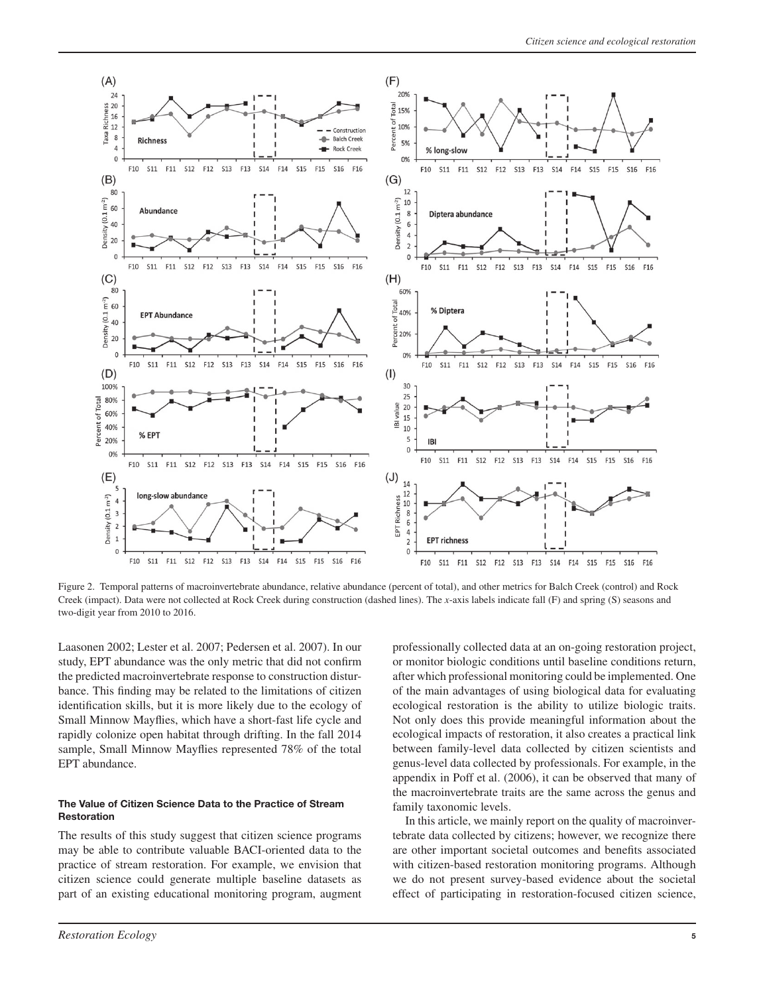

Figure 2. Temporal patterns of macroinvertebrate abundance, relative abundance (percent of total), and other metrics for Balch Creek (control) and Rock Creek (impact). Data were not collected at Rock Creek during construction (dashed lines). The *x*-axis labels indicate fall (F) and spring (S) seasons and two-digit year from 2010 to 2016.

Laasonen 2002; Lester et al. 2007; Pedersen et al. 2007). In our study, EPT abundance was the only metric that did not confirm the predicted macroinvertebrate response to construction disturbance. This finding may be related to the limitations of citizen identification skills, but it is more likely due to the ecology of Small Minnow Mayflies, which have a short-fast life cycle and rapidly colonize open habitat through drifting. In the fall 2014 sample, Small Minnow Mayflies represented 78% of the total EPT abundance.

#### **The Value of Citizen Science Data to the Practice of Stream Restoration**

The results of this study suggest that citizen science programs may be able to contribute valuable BACI-oriented data to the practice of stream restoration. For example, we envision that citizen science could generate multiple baseline datasets as part of an existing educational monitoring program, augment

professionally collected data at an on-going restoration project, or monitor biologic conditions until baseline conditions return, after which professional monitoring could be implemented. One of the main advantages of using biological data for evaluating ecological restoration is the ability to utilize biologic traits. Not only does this provide meaningful information about the ecological impacts of restoration, it also creates a practical link between family-level data collected by citizen scientists and genus-level data collected by professionals. For example, in the appendix in Poff et al. (2006), it can be observed that many of the macroinvertebrate traits are the same across the genus and family taxonomic levels.

In this article, we mainly report on the quality of macroinvertebrate data collected by citizens; however, we recognize there are other important societal outcomes and benefits associated with citizen-based restoration monitoring programs. Although we do not present survey-based evidence about the societal effect of participating in restoration-focused citizen science,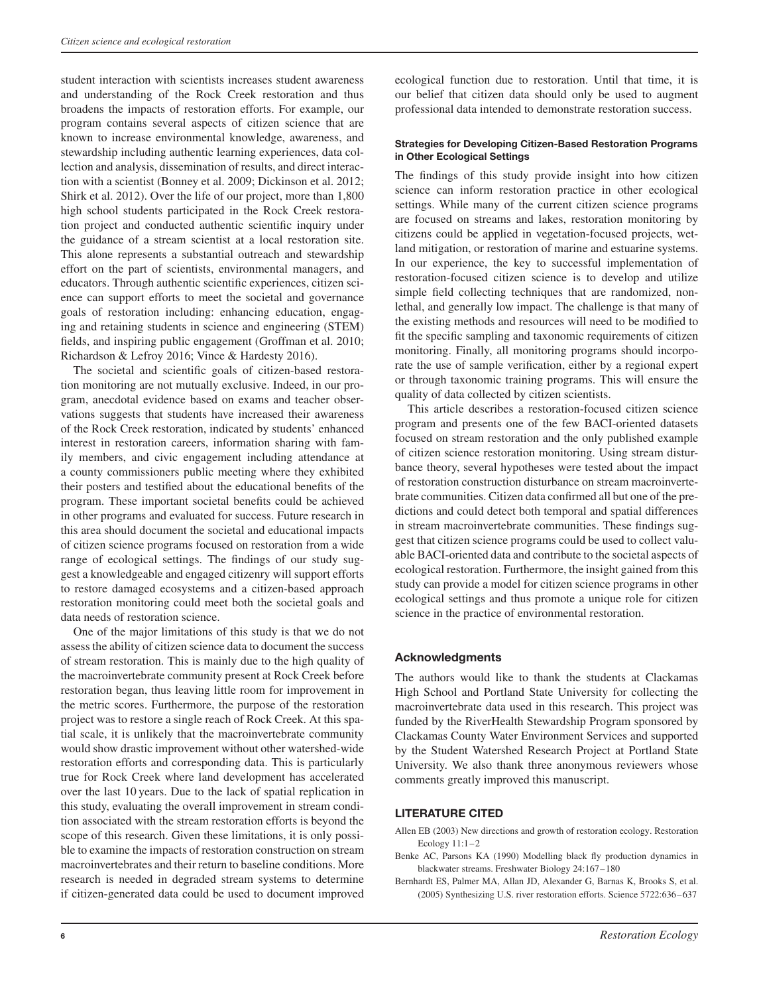student interaction with scientists increases student awareness and understanding of the Rock Creek restoration and thus broadens the impacts of restoration efforts. For example, our program contains several aspects of citizen science that are known to increase environmental knowledge, awareness, and stewardship including authentic learning experiences, data collection and analysis, dissemination of results, and direct interaction with a scientist (Bonney et al. 2009; Dickinson et al. 2012; Shirk et al. 2012). Over the life of our project, more than 1,800 high school students participated in the Rock Creek restoration project and conducted authentic scientific inquiry under the guidance of a stream scientist at a local restoration site. This alone represents a substantial outreach and stewardship effort on the part of scientists, environmental managers, and educators. Through authentic scientific experiences, citizen science can support efforts to meet the societal and governance goals of restoration including: enhancing education, engaging and retaining students in science and engineering (STEM) fields, and inspiring public engagement (Groffman et al. 2010; Richardson & Lefroy 2016; Vince & Hardesty 2016).

The societal and scientific goals of citizen-based restoration monitoring are not mutually exclusive. Indeed, in our program, anecdotal evidence based on exams and teacher observations suggests that students have increased their awareness of the Rock Creek restoration, indicated by students' enhanced interest in restoration careers, information sharing with family members, and civic engagement including attendance at a county commissioners public meeting where they exhibited their posters and testified about the educational benefits of the program. These important societal benefits could be achieved in other programs and evaluated for success. Future research in this area should document the societal and educational impacts of citizen science programs focused on restoration from a wide range of ecological settings. The findings of our study suggest a knowledgeable and engaged citizenry will support efforts to restore damaged ecosystems and a citizen-based approach restoration monitoring could meet both the societal goals and data needs of restoration science.

One of the major limitations of this study is that we do not assess the ability of citizen science data to document the success of stream restoration. This is mainly due to the high quality of the macroinvertebrate community present at Rock Creek before restoration began, thus leaving little room for improvement in the metric scores. Furthermore, the purpose of the restoration project was to restore a single reach of Rock Creek. At this spatial scale, it is unlikely that the macroinvertebrate community would show drastic improvement without other watershed-wide restoration efforts and corresponding data. This is particularly true for Rock Creek where land development has accelerated over the last 10 years. Due to the lack of spatial replication in this study, evaluating the overall improvement in stream condition associated with the stream restoration efforts is beyond the scope of this research. Given these limitations, it is only possible to examine the impacts of restoration construction on stream macroinvertebrates and their return to baseline conditions. More research is needed in degraded stream systems to determine if citizen-generated data could be used to document improved

ecological function due to restoration. Until that time, it is our belief that citizen data should only be used to augment professional data intended to demonstrate restoration success.

#### **Strategies for Developing Citizen-Based Restoration Programs in Other Ecological Settings**

The findings of this study provide insight into how citizen science can inform restoration practice in other ecological settings. While many of the current citizen science programs are focused on streams and lakes, restoration monitoring by citizens could be applied in vegetation-focused projects, wetland mitigation, or restoration of marine and estuarine systems. In our experience, the key to successful implementation of restoration-focused citizen science is to develop and utilize simple field collecting techniques that are randomized, nonlethal, and generally low impact. The challenge is that many of the existing methods and resources will need to be modified to fit the specific sampling and taxonomic requirements of citizen monitoring. Finally, all monitoring programs should incorporate the use of sample verification, either by a regional expert or through taxonomic training programs. This will ensure the quality of data collected by citizen scientists.

This article describes a restoration-focused citizen science program and presents one of the few BACI-oriented datasets focused on stream restoration and the only published example of citizen science restoration monitoring. Using stream disturbance theory, several hypotheses were tested about the impact of restoration construction disturbance on stream macroinvertebrate communities. Citizen data confirmed all but one of the predictions and could detect both temporal and spatial differences in stream macroinvertebrate communities. These findings suggest that citizen science programs could be used to collect valuable BACI-oriented data and contribute to the societal aspects of ecological restoration. Furthermore, the insight gained from this study can provide a model for citizen science programs in other ecological settings and thus promote a unique role for citizen science in the practice of environmental restoration.

# **Acknowledgments**

The authors would like to thank the students at Clackamas High School and Portland State University for collecting the macroinvertebrate data used in this research. This project was funded by the RiverHealth Stewardship Program sponsored by Clackamas County Water Environment Services and supported by the Student Watershed Research Project at Portland State University. We also thank three anonymous reviewers whose comments greatly improved this manuscript.

#### **LITERATURE CITED**

- Allen EB (2003) New directions and growth of restoration ecology. Restoration Ecology 11:1–2
- Benke AC, Parsons KA (1990) Modelling black fly production dynamics in blackwater streams. Freshwater Biology 24:167–180
- Bernhardt ES, Palmer MA, Allan JD, Alexander G, Barnas K, Brooks S, et al. (2005) Synthesizing U.S. river restoration efforts. Science 5722:636–637